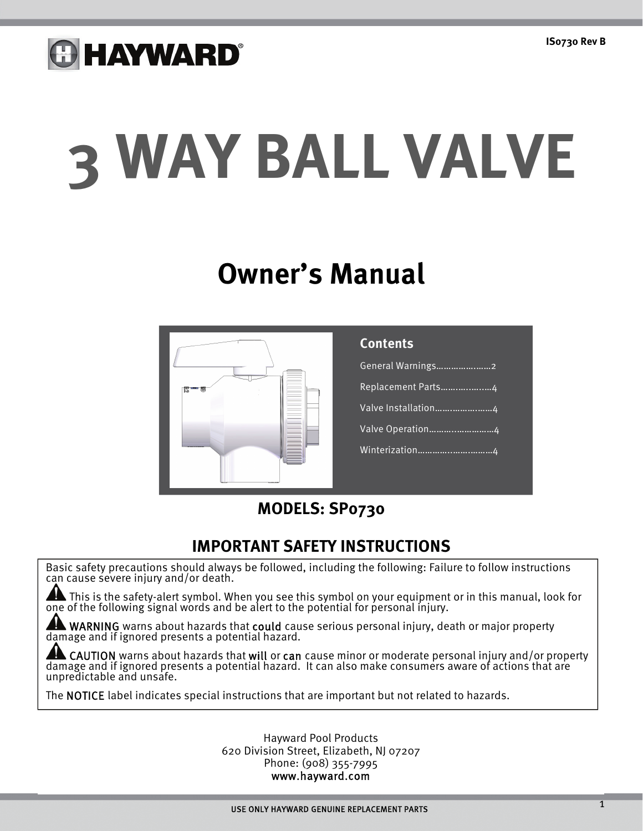## **GHAYWARD®**

# **3 WAY BALL VALVE**

### **Owner's Manual**



| <b>Contents</b>       |
|-----------------------|
| General Warnings2     |
| Replacement Parts4    |
| Valve Installation4   |
| Valve Operation4      |
| <u>Winterization4</u> |
|                       |

### **MODELS: SP0730**

### **IMPORTANT SAFETY INSTRUCTIONS**

Basic safety precautions should always be followed, including the following: Failure to follow instructions can cause severe injury and/or death.

This is the safety-alert symbol. When you see this symbol on your equipment or in this manual, look for one of the following signal words and be alert to the potential for personal injury.

WARNING warns about hazards that could cause serious personal injury, death or major property damage and if ignored presents a potential hazard.

**AL CAUTION** warns about hazards that **will** or **can** cause minor or moderate personal injury and/or property damage and if ignored presents a potential hazard. It can also make consumers aware of actions that are unpredictable and unsafe.

The NOTICE label indicates special instructions that are important but not related to hazards.

Hayward Pool Products 620 Division Street, Elizabeth, NJ 07207 Phone: (908) 355-7995 www.hayward.com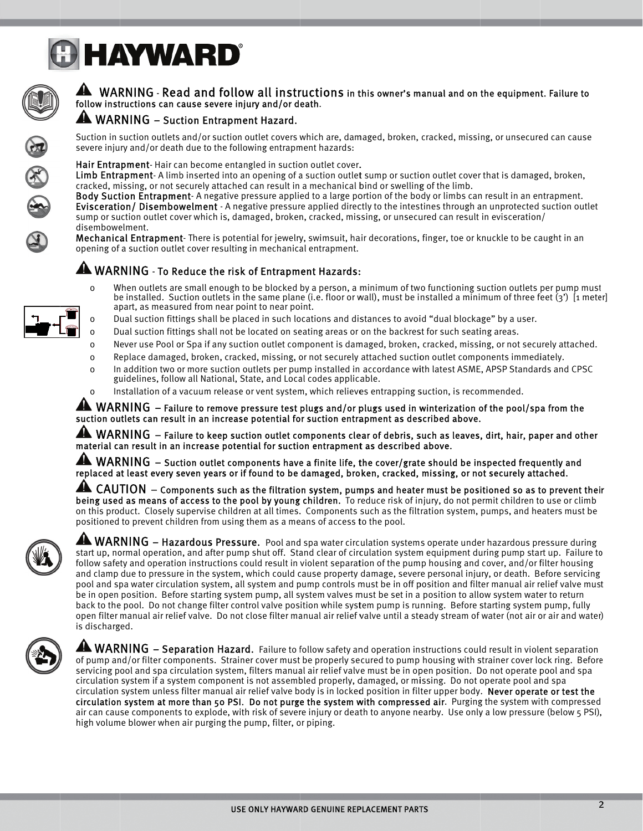



### A WARNING - Read and follow all instructions in this owner's manual and on the equipment. Failure to follow instructions can cause severe injury and/or death.

### A WARNING - Suction Entrapment Hazard.

Suction in suction outlets and/or suction outlet covers which are, damaged, broken, cracked, missing, or unsecured can cause severe injury and/or death due to the following entrapment hazards:

Hair Entrapment-Hair can become entangled in suction outlet cover.

Limb Entrapment-Alimb inserted into an opening of a suction outlet sump or suction outlet cover that is damaged, broken, cracked, missing, or not securely attached can result in a mechanical bind or swelling of the limb.

Body Suction Entrapment-A negative pressure applied to a large portion of the body or limbs can result in an entrapment. Evisceration/ Disembowelment - A negative pressure applied directly to the intestines through an unprotected suction outlet sump or suction outlet cover which is, damaged, broken, cracked, missing, or unsecured can result in evisceration/ disembowelment.

Mechanical Entrapment-There is potential for jewelry, swimsuit, hair decorations, finger, toe or knuckle to be caught in an opening of a suction outlet cover resulting in mechanical entrapment.

### A WARNING - To Reduce the risk of Entrapment Hazards:

- When outlets are small enough to be blocked by a person, a minimum of two functioning suction outlets per pump must  $\mathbf 0$ be installed. Suction outlets in the same plane (i.e. floor or wall), must be installed a minimum of three feet  $(3')$  [1 meter] apart, as measured from near point to near point.
- Dual suction fittings shall be placed in such locations and distances to avoid "dual blockage" by a user.  $\Omega$
- Dual suction fittings shall not be located on seating areas or on the backrest for such seating areas.  $\Omega$
- Never use Pool or Spa if any suction outlet component is damaged, broken, cracked, missing, or not securely attached.  $\Omega$
- $\mathbf 0$ Replace damaged, broken, cracked, missing, or not securely attached suction outlet components immediately.
- In addition two or more suction outlets per pump installed in accordance with latest ASME, APSP Standards and CPSC  $\mathbf 0$ guidelines, follow all National, State, and Local codes applicable.
- Installation of a vacuum release or vent system, which relieves entrapping suction, is recommended.  $\Omega$

 $\blacktriangle$  WARNING – Failure to remove pressure test plugs and/or plugs used in winterization of the pool/spa from the suction outlets can result in an increase potential for suction entrapment as described above.

 $\blacktriangle$  WARNING  $-$  Failure to keep suction outlet components clear of debris, such as leaves, dirt, hair, paper and other material can result in an increase potential for suction entrapment as described above.

WARNING - Suction outlet components have a finite life, the cover/grate should be inspected frequently and replaced at least every seven years or if found to be damaged, broken, cracked, missing, or not securely attached.

4 CAUTION – Components such as the filtration system, pumps and heater must be positioned so as to prevent their being used as means of access to the pool by young children. To reduce risk of injury, do not permit children to use or climb on this product. Closely supervise children at all times. Components such as the filtration system, pumps, and heaters must be positioned to prevent children from using them as a means of access to the pool.



A WARNING - Hazardous Pressure. Pool and spa water circulation systems operate under hazardous pressure during start up, normal operation, and after pump shut off. Stand clear of circulation system equipment during pump start up. Failure to follow safety and operation instructions could result in violent separation of the pump housing and cover, and/or filter housing and clamp due to pressure in the system, which could cause property damage, severe personal injury, or death. Before servicing pool and spa water circulation system, all system and pump controls must be in off position and filter manual air relief valve must be in open position. Before starting system pump, all system valves must be set in a position to allow system water to return back to the pool. Do not change filter control valve position while system pump is running. Before starting system pump, fully open filter manual air relief valve. Do not close filter manual air relief valve until a steady stream of water (not air or air and water) is discharged.



 $\blacktriangle$  WARNING – Separation Hazard. Failure to follow safety and operation instructions could result in violent separation of pump and/or filter components. Strainer cover must be properly secured to pump housing with strainer cover lock ring. Before servicing pool and spa circulation system, filters manual air relief valve must be in open position. Do not operate pool and spa circulation system if a system component is not assembled properly, damaged, or missing. Do not operate pool and spa circulation system unless filter manual air relief valve body is in locked position in filter upper body. Never operate or test the circulation system at more than 50 PSI. Do not purge the system with compressed air. Purging the system with compressed air can cause components to explode, with risk of severe injury or death to anyone nearby. Use only a low pressure (below 5 PSI), high volume blower when air purging the pump, filter, or piping.

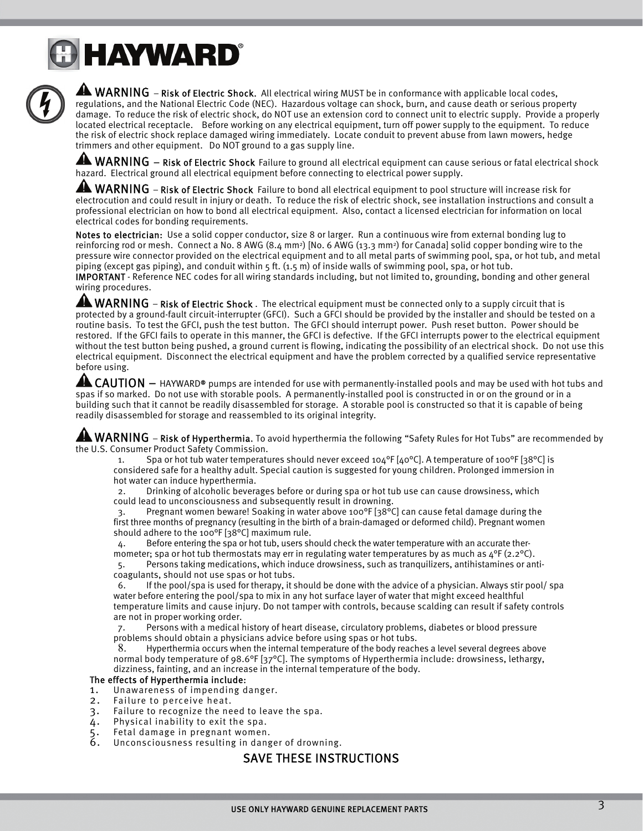# **B HAYWARD®**



**A WARNING** – Risk of Electric Shock. All electrical wiring MUST be in conformance with applicable local codes, regulations, and the National Electric Code (NEC). Hazardous voltage can shock, burn, and cause death or serious property damage. To reduce the risk of electric shock, do NOT use an extension cord to connect unit to electric supply. Provide a properly located electrical receptacle. Before working on any electrical equipment, turn off power supply to the equipment. To reduce the risk of electric shock replace damaged wiring immediately. Locate conduit to prevent abuse from lawn mowers, hedge trimmers and other equipment. Do NOT ground to a gas supply line.

**A WARNING** – Risk of Electric Shock Failure to ground all electrical equipment can cause serious or fatal electrical shock hazard. Electrical ground all electrical equipment before connecting to electrical power supply.

 $\blacktriangle$  WARNING – Risk of Electric Shock Failure to bond all electrical equipment to pool structure will increase risk for electrocution and could result in injury or death. To reduce the risk of electric shock, see installation instructions and consult a professional electrician on how to bond all electrical equipment. Also, contact a licensed electrician for information on local electrical codes for bonding requirements.

Notes to electrician: Use a solid copper conductor, size 8 or larger. Run a continuous wire from external bonding lug to reinforcing rod or mesh. Connect a No. 8 AWG (8.4 mm<sup>2</sup>) [No. 6 AWG (13.3 mm<sup>2</sup>) for Canada] solid copper bonding wire to the pressure wire connector provided on the electrical equipment and to all metal parts of swimming pool, spa, or hot tub, and metal piping (except gas piping), and conduit within 5 ft. (1.5 m) of inside walls of swimming pool, spa, or hot tub. IMPORTANT - Reference NEC codes for all wiring standards including, but not limited to, grounding, bonding and other general wiring procedures.

A WARNING – Risk of Electric Shock . The electrical equipment must be connected only to a supply circuit that is protected by a ground-fault circuit-interrupter (GFCI). Such a GFCI should be provided by the installer and should be tested on a routine basis. To test the GFCI, push the test button. The GFCI should interrupt power. Push reset button. Power should be restored. If the GFCI fails to operate in this manner, the GFCI is defective. If the GFCI interrupts power to the electrical equipment without the test button being pushed, a ground current is flowing, indicating the possibility of an electrical shock. Do not use this electrical equipment. Disconnect the electrical equipment and have the problem corrected by a qualified service representative before using.

 $\blacktriangle$  CAUTION  $-$  HAYWARD® pumps are intended for use with permanently-installed pools and may be used with hot tubs and spas if so marked. Do not use with storable pools. A permanently-installed pool is constructed in or on the ground or in a building such that it cannot be readily disassembled for storage. A storable pool is constructed so that it is capable of being readily disassembled for storage and reassembled to its original integrity.

 $\blacktriangle$  WARNING – Risk of Hyperthermia. To avoid hyperthermia the following "Safety Rules for Hot Tubs" are recommended by the U.S. Consumer Product Safety Commission.

1. Spa or hot tub water temperatures should never exceed 104 $\degree$ F [40 $\degree$ C]. A temperature of 100 $\degree$ F [38 $\degree$ C] is considered safe for a healthy adult. Special caution is suggested for young children. Prolonged immersion in hot water can induce hyperthermia.

2. Drinking of alcoholic beverages before or during spa or hot tub use can cause drowsiness, which could lead to unconsciousness and subsequently result in drowning.

3. Pregnant women beware! Soaking in water above 100°F [38°C] can cause fetal damage during the first three months of pregnancy (resulting in the birth of a brain-damaged or deformed child). Pregnant women should adhere to the 100°F [38°C] maximum rule.

4. Before entering the spa or hot tub, users should check the water temperature with an accurate thermometer; spa or hot tub thermostats may err in regulating water temperatures by as much as  $4^{\circ}F (2.2^{\circ}C)$ . 5. Persons taking medications, which induce drowsiness, such as tranquilizers, antihistamines or anti-

coagulants, should not use spas or hot tubs. 6. If the pool/spa is used for therapy, it should be done with the advice of a physician. Always stir pool/ spa

water before entering the pool/spa to mix in any hot surface layer of water that might exceed healthful temperature limits and cause injury. Do not tamper with controls, because scalding can result if safety controls are not in proper working order.

7. Persons with a medical history of heart disease, circulatory problems, diabetes or blood pressure problems should obtain a physicians advice before using spas or hot tubs.

8. Hyperthermia occurs when the internal temperature of the body reaches a level several degrees above normal body temperature of 98.6°F [37°C]. The symptoms of Hyperthermia include: drowsiness, lethargy, dizziness, fainting, and an increase in the internal temperature of the body.

### The effects of Hyperthermia include:

- 1. Unawareness of impending danger.
- 2. Failure to perceive heat.
- 3. Failure to recognize the need to leave the spa.
- 4. Physical inability to exit the spa.
- 5. Fetal damage in pregnant women.
- Unconsciousness resulting in danger of drowning.

### SAVE THESE INSTRUCTIONS